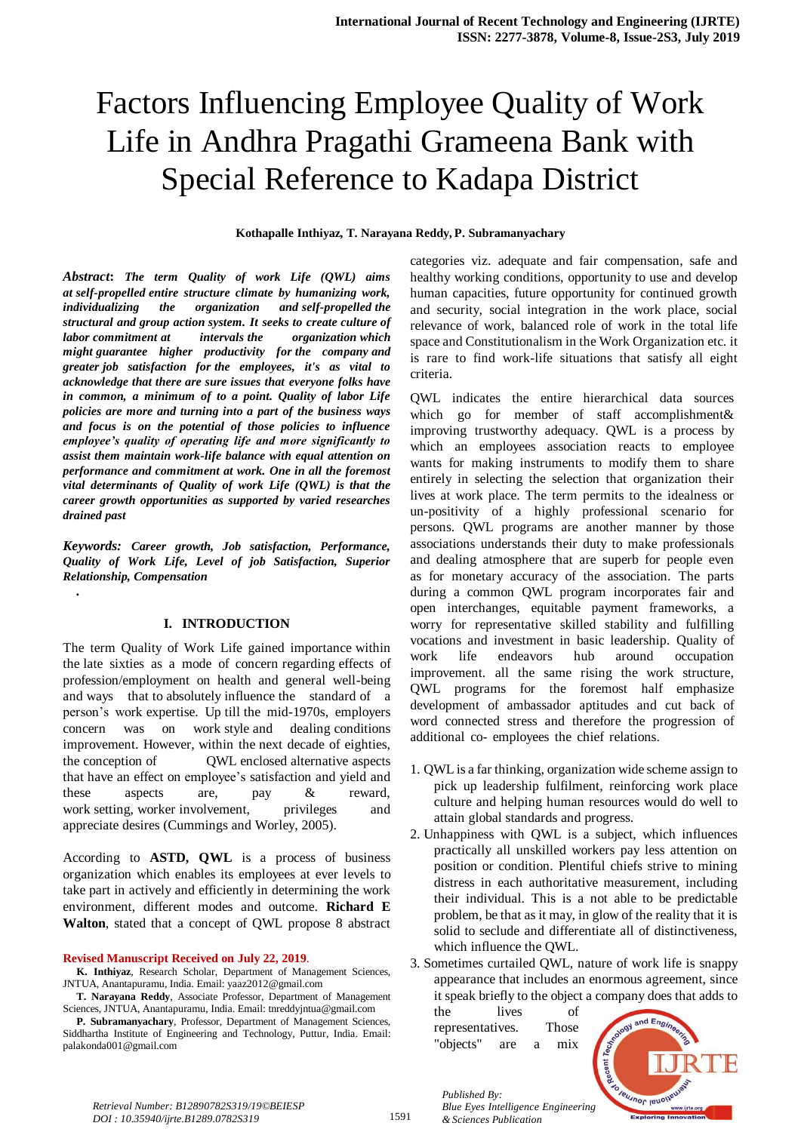# Factors Influencing Employee Quality of Work Life in Andhra Pragathi Grameena Bank with Special Reference to Kadapa District

#### **Kothapalle Inthiyaz, T. Narayana Reddy, P. Subramanyachary**

*Abstract***:** *The term Quality of work Life (QWL) aims at self-propelled entire structure climate by humanizing work, individualizing the organization and self-propelled the structural and group action system. It seeks to create culture of labor commitment at intervals the organization which might guarantee higher productivity for the company and greater job satisfaction for the employees, it's as vital to acknowledge that there are sure issues that everyone folks have in common, a minimum of to a point. Quality of labor Life policies are more and turning into a part of the business ways and focus is on the potential of those policies to influence employee's quality of operating life and more significantly to assist them maintain work-life balance with equal attention on performance and commitment at work. One in all the foremost vital determinants of Quality of work Life (QWL) is that the career growth opportunities as supported by varied researches drained past*

*Keywords: Career growth, Job satisfaction, Performance, Quality of Work Life, Level of job Satisfaction, Superior Relationship, Compensation*

# **I. INTRODUCTION**

*.*

The term Quality of Work Life gained importance within the late sixties as a mode of concern regarding effects of profession/employment on health and general well-being and ways that to absolutely influence the standard of a person's work expertise. Up till the mid-1970s, employers concern was on work style and dealing conditions improvement. However, within the next decade of eighties, the conception of QWL enclosed alternative aspects that have an effect on employee's satisfaction and yield and these aspects are, pay & reward, work setting, worker involvement, privileges and appreciate desires (Cummings and Worley, 2005).

According to **ASTD, QWL** is a process of business organization which enables its employees at ever levels to take part in actively and efficiently in determining the work environment, different modes and outcome. **Richard E Walton**, stated that a concept of QWL propose 8 abstract

#### **Revised Manuscript Received on July 22, 2019**.

**K. Inthiyaz**, Research Scholar, Department of Management Sciences, JNTUA, Anantapuramu, India. Email: yaaz2012@gmail.com

**T. Narayana Reddy**, Associate Professor, Department of Management Sciences, JNTUA, Anantapuramu, India. Email[: tnreddyjntua@gmail.com](mailto:tnreddyjntua@gmail.com)

**P. Subramanyachary**, Professor, Department of Management Sciences, Siddhartha Institute of Engineering and Technology, Puttur, India. Email: [palakonda001@gmail.com](mailto:palakonda001@gmail.com)

categories viz. adequate and fair compensation, safe and healthy working conditions, opportunity to use and develop human capacities, future opportunity for continued growth and security, social integration in the work place, social relevance of work, balanced role of work in the total life space and Constitutionalism in the Work Organization etc. it is rare to find work-life situations that satisfy all eight criteria.

QWL indicates the entire hierarchical data sources which go for member of staff accomplishment  $\&$ improving trustworthy adequacy. QWL is a process by which an employees association reacts to employee wants for making instruments to modify them to share entirely in selecting the selection that organization their lives at work place. The term permits to the idealness or un-positivity of a highly professional scenario for persons. QWL programs are another manner by those associations understands their duty to make professionals and dealing atmosphere that are superb for people even as for monetary accuracy of the association. The parts during a common QWL program incorporates fair and open interchanges, equitable payment frameworks, a worry for representative skilled stability and fulfilling vocations and investment in basic leadership. Quality of work life endeavors hub around occupation improvement. all the same rising the work structure, QWL programs for the foremost half emphasize development of ambassador aptitudes and cut back of word connected stress and therefore the progression of additional co- employees the chief relations.

- 1. QWL is a far thinking, organization wide scheme assign to pick up leadership fulfilment, reinforcing work place culture and helping human resources would do well to attain global standards and progress.
- 2. Unhappiness with QWL is a subject, which influences practically all unskilled workers pay less attention on position or condition. Plentiful chiefs strive to mining distress in each authoritative measurement, including their individual. This is a not able to be predictable problem, be that as it may, in glow of the reality that it is solid to seclude and differentiate all of distinctiveness, which influence the QWL.

3. Sometimes curtailed QWL, nature of work life is snappy appearance that includes an enormous agreement, since it speak briefly to the object a company does that adds to

the lives of representatives. Those "objects" are a mix

*Published By:*

*& Sciences Publication* 



1591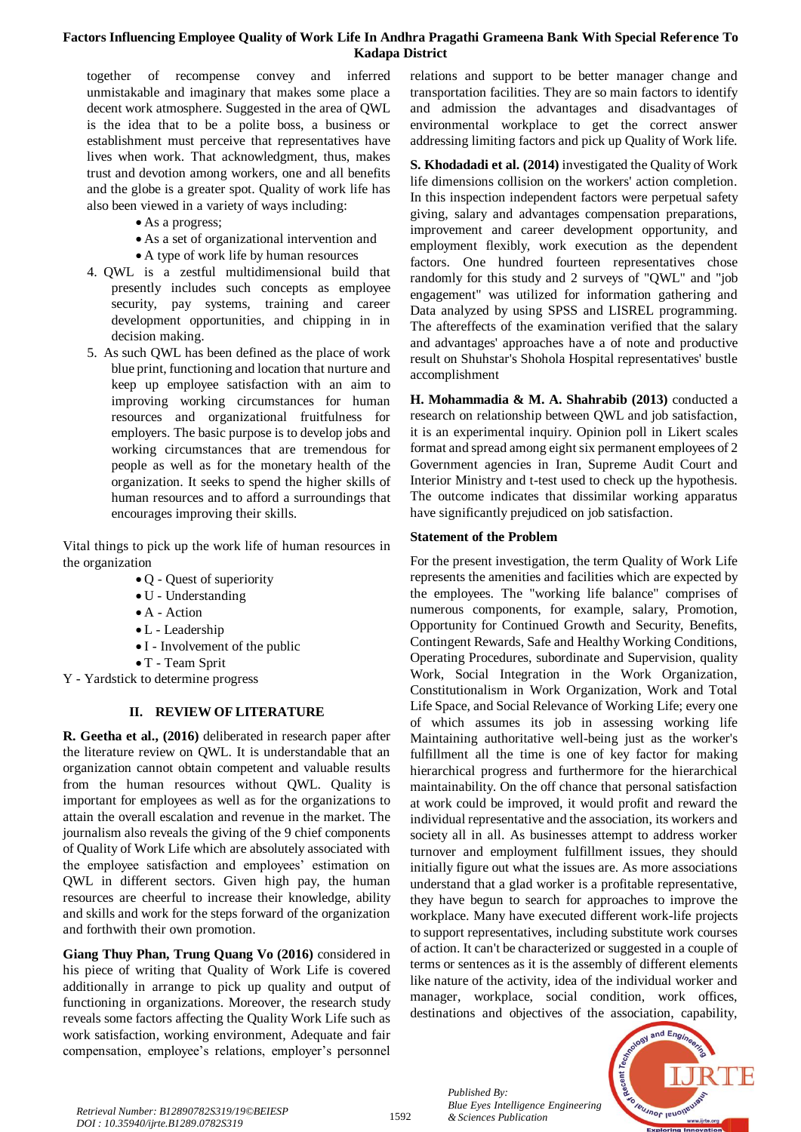# **Factors Influencing Employee Quality of Work Life In Andhra Pragathi Grameena Bank With Special Reference To Kadapa District**

together of recompense convey and inferred unmistakable and imaginary that makes some place a decent work atmosphere. Suggested in the area of QWL is the idea that to be a polite boss, a business or establishment must perceive that representatives have lives when work. That acknowledgment, thus, makes trust and devotion among workers, one and all benefits and the globe is a greater spot. Quality of work life has also been viewed in a variety of ways including:

- As a progress;
- As a set of organizational intervention and
- A type of work life by human resources
- 4. QWL is a zestful multidimensional build that presently includes such concepts as employee security, pay systems, training and career development opportunities, and chipping in in decision making.
- 5. As such QWL has been defined as the place of work blue print, functioning and location that nurture and keep up employee satisfaction with an aim to improving working circumstances for human resources and organizational fruitfulness for employers. The basic purpose is to develop jobs and working circumstances that are tremendous for people as well as for the monetary health of the organization. It seeks to spend the higher skills of human resources and to afford a surroundings that encourages improving their skills.

Vital things to pick up the work life of human resources in the organization

- Q Quest of superiority
- U Understanding
- A Action
- L Leadership
- I Involvement of the public
- T Team Sprit
- Y Yardstick to determine progress

# **II. REVIEW OF LITERATURE**

**R. Geetha et al., (2016)** deliberated in research paper after the literature review on QWL. It is understandable that an organization cannot obtain competent and valuable results from the human resources without QWL. Quality is important for employees as well as for the organizations to attain the overall escalation and revenue in the market. The journalism also reveals the giving of the 9 chief components of Quality of Work Life which are absolutely associated with the employee satisfaction and employees' estimation on QWL in different sectors. Given high pay, the human resources are cheerful to increase their knowledge, ability and skills and work for the steps forward of the organization and forthwith their own promotion.

**Giang Thuy Phan, Trung Quang Vo (2016)** considered in his piece of writing that Quality of Work Life is covered additionally in arrange to pick up quality and output of functioning in organizations. Moreover, the research study reveals some factors affecting the Quality Work Life such as work satisfaction, working environment, Adequate and fair compensation, employee's relations, employer's personnel relations and support to be better manager change and transportation facilities. They are so main factors to identify and admission the advantages and disadvantages of environmental workplace to get the correct answer addressing limiting factors and pick up Quality of Work life.

**S. Khodadadi et al. (2014)** investigated the Quality of Work life dimensions collision on the workers' action completion. In this inspection independent factors were perpetual safety giving, salary and advantages compensation preparations, improvement and career development opportunity, and employment flexibly, work execution as the dependent factors. One hundred fourteen representatives chose randomly for this study and 2 surveys of "QWL" and "job engagement" was utilized for information gathering and Data analyzed by using SPSS and LISREL programming. The aftereffects of the examination verified that the salary and advantages' approaches have a of note and productive result on Shuhstar's Shohola Hospital representatives' bustle accomplishment

**H. Mohammadia & M. A. Shahrabib (2013)** conducted a research on relationship between QWL and job satisfaction, it is an experimental inquiry. Opinion poll in Likert scales format and spread among eight six permanent employees of 2 Government agencies in Iran, Supreme Audit Court and Interior Ministry and t-test used to check up the hypothesis. The outcome indicates that dissimilar working apparatus have significantly prejudiced on job satisfaction.

# **Statement of the Problem**

For the present investigation, the term Quality of Work Life represents the amenities and facilities which are expected by the employees. The "working life balance" comprises of numerous components, for example, salary, Promotion, Opportunity for Continued Growth and Security, Benefits, Contingent Rewards, Safe and Healthy Working Conditions, Operating Procedures, subordinate and Supervision, quality Work, Social Integration in the Work Organization, Constitutionalism in Work Organization, Work and Total Life Space, and Social Relevance of Working Life; every one of which assumes its job in assessing working life Maintaining authoritative well-being just as the worker's fulfillment all the time is one of key factor for making hierarchical progress and furthermore for the hierarchical maintainability. On the off chance that personal satisfaction at work could be improved, it would profit and reward the individual representative and the association, its workers and society all in all. As businesses attempt to address worker turnover and employment fulfillment issues, they should initially figure out what the issues are. As more associations understand that a glad worker is a profitable representative, they have begun to search for approaches to improve the workplace. Many have executed different work-life projects to support representatives, including substitute work courses of action. It can't be characterized or suggested in a couple of terms or sentences as it is the assembly of different elements like nature of the activity, idea of the individual worker and manager, workplace, social condition, work offices, destinations and objectives of the association, capability,



*Blue Eyes Intelligence*<br>Retrieval Number: B12890782S319/19©BEIESP<br>Reserves Publication Reserves Publication *DOI : 10.35940/ijrte.B1289.0782S319*

*Published By:*

*Blue Eyes Intelligence Engineering*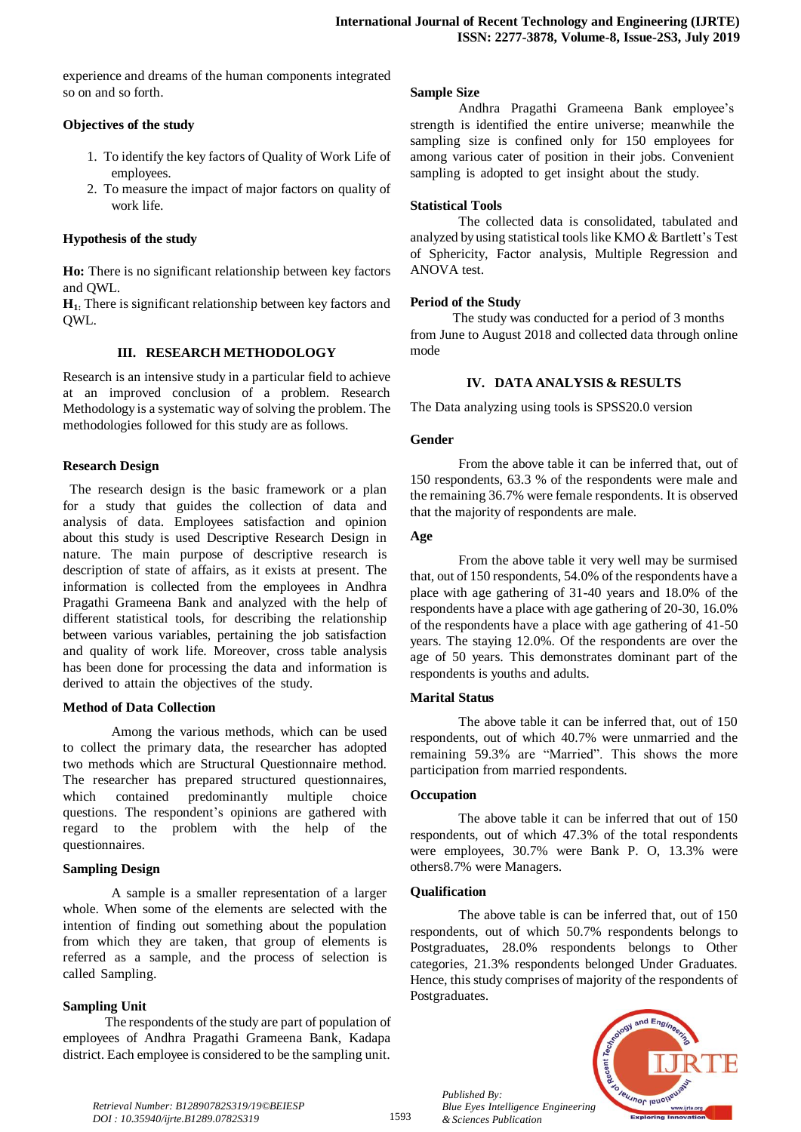experience and dreams of the human components integrated so on and so forth.

# **Objectives of the study**

- 1. To identify the key factors of Quality of Work Life of employees.
- 2. To measure the impact of major factors on quality of work life.

## **Hypothesis of the study**

**Ho:** There is no significant relationship between key factors and QWL.

**H1:** There is significant relationship between key factors and QWL.

# **III. RESEARCH METHODOLOGY**

Research is an intensive study in a particular field to achieve at an improved conclusion of a problem. Research Methodology is a systematic way of solving the problem. The methodologies followed for this study are as follows.

#### **Research Design**

The research design is the basic framework or a plan for a study that guides the collection of data and analysis of data. Employees satisfaction and opinion about this study is used Descriptive Research Design in nature. The main purpose of descriptive research is description of state of affairs, as it exists at present. The information is collected from the employees in Andhra Pragathi Grameena Bank and analyzed with the help of different statistical tools, for describing the relationship between various variables, pertaining the job satisfaction and quality of work life. Moreover, cross table analysis has been done for processing the data and information is derived to attain the objectives of the study.

#### **Method of Data Collection**

Among the various methods, which can be used to collect the primary data, the researcher has adopted two methods which are Structural Questionnaire method. The researcher has prepared structured questionnaires, which contained predominantly multiple choice questions. The respondent's opinions are gathered with regard to the problem with the help of the questionnaires.

#### **Sampling Design**

A sample is a smaller representation of a larger whole. When some of the elements are selected with the intention of finding out something about the population from which they are taken, that group of elements is referred as a sample, and the process of selection is called Sampling.

# **Sampling Unit**

 The respondents of the study are part of population of employees of Andhra Pragathi Grameena Bank, Kadapa district. Each employee is considered to be the sampling unit.

#### **Sample Size**

Andhra Pragathi Grameena Bank employee's strength is identified the entire universe; meanwhile the sampling size is confined only for 150 employees for among various cater of position in their jobs. Convenient sampling is adopted to get insight about the study.

#### **Statistical Tools**

The collected data is consolidated, tabulated and analyzed by using statistical tools like KMO & Bartlett's Test of Sphericity, Factor analysis, Multiple Regression and ANOVA test.

#### **Period of the Study**

 The study was conducted for a period of 3 months from June to August 2018 and collected data through online mode

#### **IV. DATA ANALYSIS & RESULTS**

The Data analyzing using tools is SPSS20.0 version

#### **Gender**

From the above table it can be inferred that, out of 150 respondents, 63.3 % of the respondents were male and the remaining 36.7% were female respondents. It is observed that the majority of respondents are male.

#### **Age**

From the above table it very well may be surmised that, out of 150 respondents, 54.0% of the respondents have a place with age gathering of 31-40 years and 18.0% of the respondents have a place with age gathering of 20-30, 16.0% of the respondents have a place with age gathering of 41-50 years. The staying 12.0%. Of the respondents are over the age of 50 years. This demonstrates dominant part of the respondents is youths and adults.

#### **Marital Status**

The above table it can be inferred that, out of 150 respondents, out of which 40.7% were unmarried and the remaining 59.3% are "Married". This shows the more participation from married respondents.

#### **Occupation**

The above table it can be inferred that out of 150 respondents, out of which 47.3% of the total respondents were employees, 30.7% were Bank P. O, 13.3% were others8.7% were Managers.

#### **Qualification**

*Published By:*

*& Sciences Publication* 

The above table is can be inferred that, out of 150 respondents, out of which 50.7% respondents belongs to Postgraduates, 28.0% respondents belongs to Other categories, 21.3% respondents belonged Under Graduates. Hence, this study comprises of majority of the respondents of Postgraduates.



*Retrieval Number: B12890782S319/19©BEIESP DOI : 10.35940/ijrte.B1289.0782S319*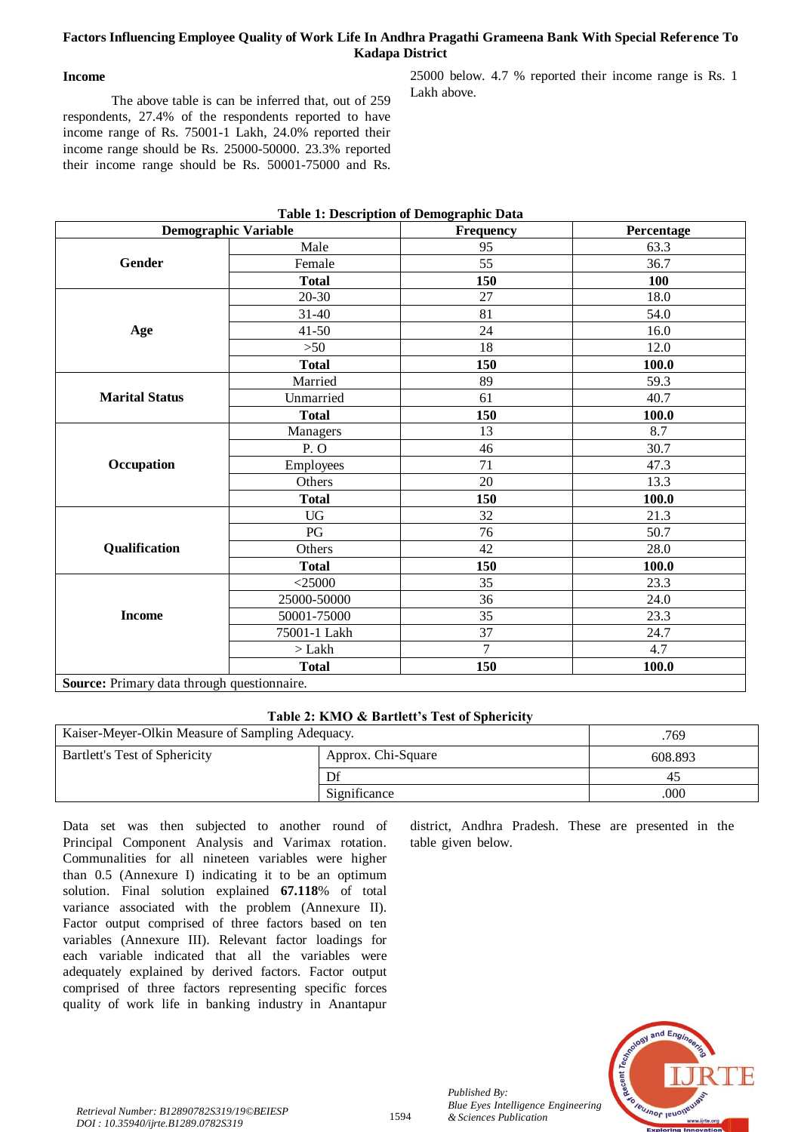# **Factors Influencing Employee Quality of Work Life In Andhra Pragathi Grameena Bank With Special Reference To Kadapa District**

# **Income**

The above table is can be inferred that, out of 259 respondents, 27.4% of the respondents reported to have income range of Rs. 75001-1 Lakh, 24.0% reported their income range should be Rs. 25000-50000. 23.3% reported their income range should be Rs. 50001-75000 and Rs. 25000 below. 4.7 % reported their income range is Rs. 1 Lakh above.

|                                             | <b>Demographic Variable</b> | <b>Frequency</b> | Percentage |  |  |
|---------------------------------------------|-----------------------------|------------------|------------|--|--|
|                                             | Male                        | 95               | 63.3       |  |  |
| Gender                                      | Female                      | 55               | 36.7       |  |  |
|                                             | <b>Total</b>                | 150              | 100        |  |  |
|                                             | $20 - 30$                   | 27               | 18.0       |  |  |
|                                             | $31 - 40$                   | 81               | 54.0       |  |  |
| Age                                         | $41 - 50$<br>24             |                  | 16.0       |  |  |
|                                             | $>50$<br>18                 |                  | 12.0       |  |  |
|                                             | <b>Total</b>                | 150              | 100.0      |  |  |
|                                             | Married                     | 89               | 59.3       |  |  |
| <b>Marital Status</b>                       | Unmarried                   | 61               | 40.7       |  |  |
|                                             | <b>Total</b>                | 150              | 100.0      |  |  |
|                                             | Managers                    | 13               | 8.7        |  |  |
|                                             | P.O                         | 46               | 30.7       |  |  |
| Occupation                                  | Employees                   | 71               | 47.3       |  |  |
|                                             | Others                      | 20               | 13.3       |  |  |
|                                             | <b>Total</b>                | 150              | 100.0      |  |  |
|                                             | <b>UG</b>                   | 32               | 21.3       |  |  |
|                                             | $\mathbf{P}\mathbf{G}$      | 76               | 50.7       |  |  |
| Qualification                               | Others                      | 42               | 28.0       |  |  |
|                                             | <b>Total</b>                | 150              | 100.0      |  |  |
|                                             | $<$ 25000                   | 35               | 23.3       |  |  |
|                                             | 25000-50000                 | 36               | 24.0       |  |  |
| <b>Income</b>                               | 50001-75000                 | 35               | 23.3       |  |  |
|                                             | 75001-1 Lakh                | 37               | 24.7       |  |  |
|                                             | $>$ Lakh                    | $\overline{7}$   | 4.7        |  |  |
|                                             | <b>Total</b>                | 150              | 100.0      |  |  |
| Source: Primary data through questionnaire. |                             |                  |            |  |  |

# **Table 1: Description of Demographic Data**

**Table 2: KMO & Bartlett's Test of Sphericity**

| Kaiser-Meyer-Olkin Measure of Sampling Adequacy. | .769    |    |
|--------------------------------------------------|---------|----|
| Bartlett's Test of Sphericity                    | 608.893 |    |
|                                                  |         | 40 |
|                                                  | 000     |    |

Data set was then subjected to another round of Principal Component Analysis and Varimax rotation. Communalities for all nineteen variables were higher than  $0.5$  (Annexure I) indicating it to be an optimum solution. Final solution explained 67.118% of total variance associated with the problem (Annexure II). Factor output comprised of three factors based on ten variables (Annexure III). Relevant factor loadings for each variable indicated that all the variables were adequately explained by derived factors. Factor output comprised of three factors representing specific forces quality of work life in banking industry in Anantapur

district, Andhra Pradesh. These are presented in the table given below.



*Published By:*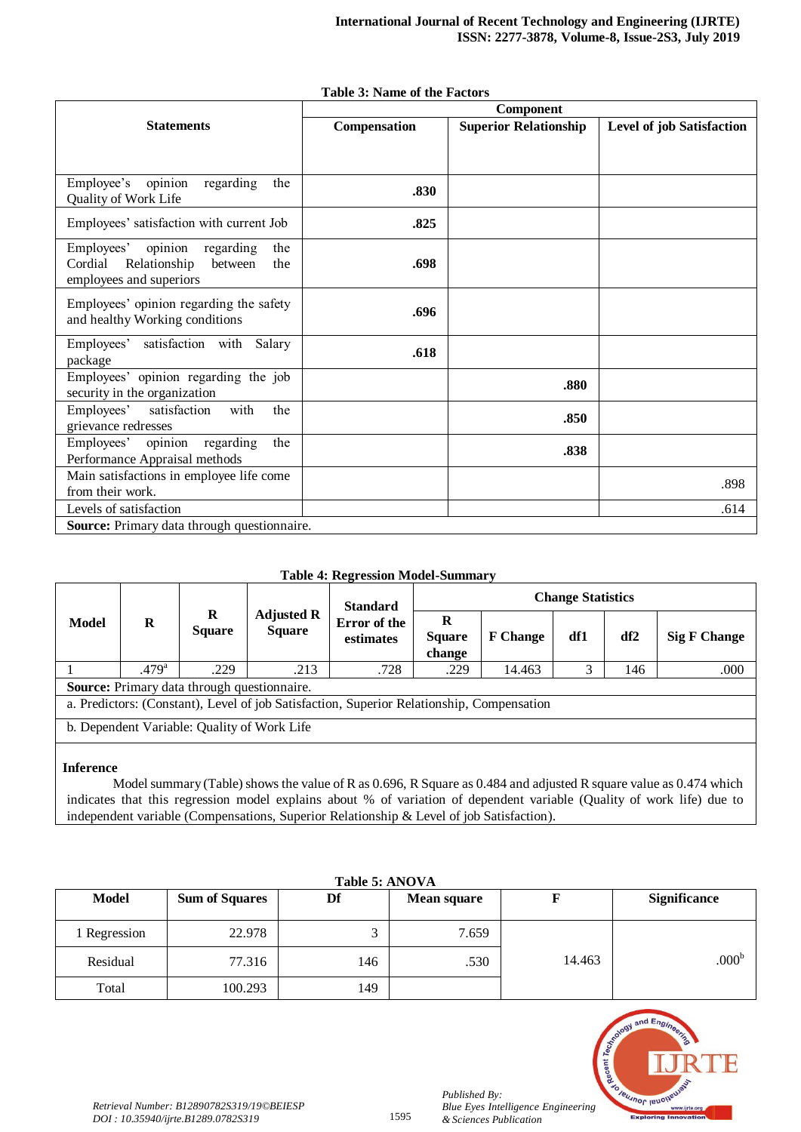|                                                                                                                   | <b>Component</b> |                              |                                  |  |  |  |
|-------------------------------------------------------------------------------------------------------------------|------------------|------------------------------|----------------------------------|--|--|--|
| <b>Statements</b>                                                                                                 | Compensation     | <b>Superior Relationship</b> | <b>Level of job Satisfaction</b> |  |  |  |
| opinion<br>Employee's<br>regarding<br>the<br>Quality of Work Life                                                 | .830             |                              |                                  |  |  |  |
| Employees' satisfaction with current Job                                                                          | .825             |                              |                                  |  |  |  |
| opinion<br>Employees'<br>regarding<br>the<br>Relationship<br>Cordial<br>the<br>between<br>employees and superiors | .698             |                              |                                  |  |  |  |
| Employees' opinion regarding the safety<br>and healthy Working conditions                                         | .696             |                              |                                  |  |  |  |
| satisfaction with<br>Employees'<br>Salary<br>package                                                              | .618             |                              |                                  |  |  |  |
| Employees' opinion regarding the job                                                                              |                  | $\mathbf{a}\mathbf{a}$       |                                  |  |  |  |

#### **Table 3: Name of the Factors**

# **Table 4: Regression Model-Summary**

 $\frac{1}{2}$  and  $\frac{1}{2}$  and  $\frac{1}{2}$  and  $\frac{1}{2}$  are  $\frac{1}{2}$  and  $\frac{1}{2}$  and  $\frac{1}{2}$  are  $\frac{1}{2}$  and  $\frac{1}{2}$  and  $\frac{1}{2}$  and  $\frac{1}{2}$  and  $\frac{1}{2}$  and  $\frac{1}{2}$  and  $\frac{1}{2}$  and  $\frac{1}{2}$  and  $\frac{1}{2}$  a Levels of satisfaction . The contraction of the contraction of the contraction of the contraction of the contraction of the contraction of the contraction of the contraction of the contraction of the contraction of the con

security in the organization **.880**<br>Security in the organization

expressed the statistical with the contract of the statistic statistic statistic statistic statistic statistic st<br>
grievance redresses and the statistic statistic statistic statistic statistic statistic statistic statistic

Employees opinion regarding the **.838**<br>Performance Appraisal methods **.838** 

Employees' satisfaction with the

Employees' opinion regarding the

Main satisfactions in employee life come

**Source:** Primary data through questionnaire.

|                                                                                           |                   |                           |                                    | <b>Standard</b>                  | <b>Change Statistics</b>     |                 |     |                 |                     |
|-------------------------------------------------------------------------------------------|-------------------|---------------------------|------------------------------------|----------------------------------|------------------------------|-----------------|-----|-----------------|---------------------|
| Model                                                                                     | $\bf{R}$          | $\bf{R}$<br><b>Square</b> | <b>Adjusted R</b><br><b>Square</b> | <b>Error</b> of the<br>estimates | R<br><b>Square</b><br>change | <b>F</b> Change | df1 | df <sub>2</sub> | <b>Sig F Change</b> |
|                                                                                           | .479 <sup>a</sup> | .229                      | .213                               | .728                             | .229                         | 14.463          |     | 146             | .000                |
| <b>Source:</b> Primary data through questionnaire.                                        |                   |                           |                                    |                                  |                              |                 |     |                 |                     |
| a. Predictors: (Constant), Level of job Satisfaction, Superior Relationship, Compensation |                   |                           |                                    |                                  |                              |                 |     |                 |                     |
| b. Dependent Variable: Quality of Work Life                                               |                   |                           |                                    |                                  |                              |                 |     |                 |                     |
|                                                                                           |                   |                           |                                    |                                  |                              |                 |     |                 |                     |

# **Inference**

 Model summary (Table) shows the value of R as 0.696, R Square as 0.484 and adjusted R square value as 0.474 which indicates that this regression model explains about % of variation of dependent variable (Quality of work life) due to independent variable (Compensations, Superior Relationship & Level of job Satisfaction).

| Table 5: ANOVA |                       |     |                    |        |                     |  |  |
|----------------|-----------------------|-----|--------------------|--------|---------------------|--|--|
| <b>Model</b>   | <b>Sum of Squares</b> | Df  | <b>Mean square</b> |        | <b>Significance</b> |  |  |
| Regression     | 22.978                |     | 7.659              |        |                     |  |  |
| Residual       | 77.316                | 146 | .530               | 14.463 | .000 <sup>b</sup>   |  |  |
| Total          | 100.293               | 149 |                    |        |                     |  |  |

# **PUJNOF JEUO** *Blue Eyes Intelligence Engineering*

*Published By:*

*& Sciences Publication*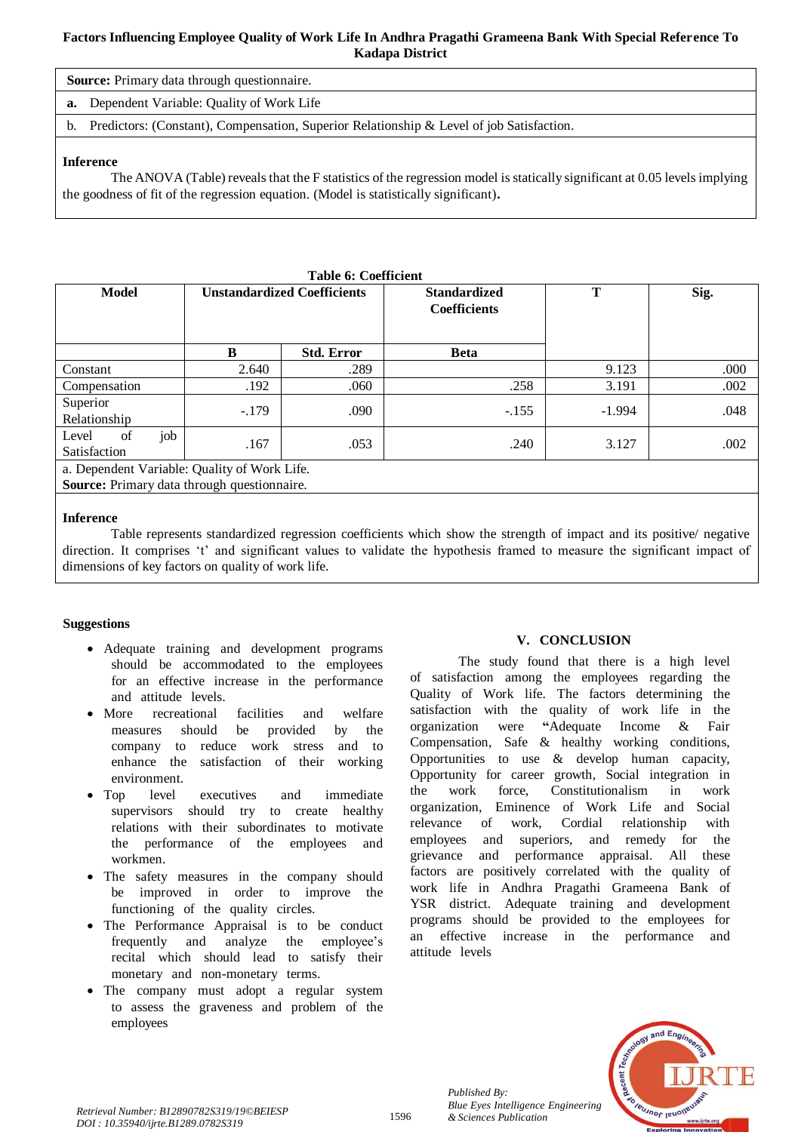# **Factors Influencing Employee Quality of Work Life In Andhra Pragathi Grameena Bank With Special Reference To Kadapa District**

**Source:** Primary data through questionnaire.

**a.** Dependent Variable: Quality of Work Life

b. Predictors: (Constant), Compensation, Superior Relationship & Level of job Satisfaction.

# **Inference**

The ANOVA (Table) reveals that the F statistics of the regression model is statically significant at 0.05 levels implying the goodness of fit of the regression equation. (Model is statistically significant)**.**

| <b>Table 6: Coefficient</b>                  |         |                                    |                                            |          |      |  |  |  |
|----------------------------------------------|---------|------------------------------------|--------------------------------------------|----------|------|--|--|--|
| <b>Model</b>                                 |         | <b>Unstandardized Coefficients</b> | <b>Standardized</b><br><b>Coefficients</b> | T        | Sig. |  |  |  |
|                                              | B       | <b>Std. Error</b>                  | <b>Beta</b>                                |          |      |  |  |  |
| Constant                                     | 2.640   | .289                               |                                            | 9.123    | .000 |  |  |  |
| Compensation                                 | .192    | .060                               | .258                                       | 3.191    | .002 |  |  |  |
| Superior<br>Relationship                     | $-.179$ | .090                               | $-.155$                                    | $-1.994$ | .048 |  |  |  |
| job<br>of<br>Level<br><b>Satisfaction</b>    | .167    | .053                               | .240                                       | 3.127    | .002 |  |  |  |
| a. Dependent Variable: Quality of Work Life. |         |                                    |                                            |          |      |  |  |  |
| Source: Primary data through questionnaire.  |         |                                    |                                            |          |      |  |  |  |

# **Inference**

Table represents standardized regression coefficients which show the strength of impact and its positive/ negative direction. It comprises 't' and significant values to validate the hypothesis framed to measure the significant impact of dimensions of key factors on quality of work life.

# **Suggestions**

- Adequate training and development programs should be accommodated to the employees for an effective increase in the performance and attitude levels.
- More recreational facilities and welfare measures should be provided by the company to reduce work stress and to enhance the satisfaction of their working environment.
- Top level executives and immediate supervisors should try to create healthy relations with their subordinates to motivate the performance of the employees and workmen.
- The safety measures in the company should be improved in order to improve the functioning of the quality circles.
- The Performance Appraisal is to be conduct frequently and analyze the employee's recital which should lead to satisfy their monetary and non-monetary terms.
- The company must adopt a regular system to assess the graveness and problem of the employees

# **V. CONCLUSION**

The study found that there is a high level of satisfaction among the employees regarding the Quality of Work life. The factors determining the satisfaction with the quality of work life in the organization were "Adequate Income & Fair Compensation, Safe  $\&$  healthy working conditions, Opportunities to use  $\&$  develop human capacity, Opportunity for career growth, Social integration in the work force, Constitutionalism in work organization, Eminence of Work Life and Social relevance of work, Cordial relationship with employees and superiors, and remedy for the grievance and performance appraisal. All these factors are positively correlated with the quality of work life in Andhra Pragathi Grameena Bank of YSR district. Adequate training and development programs should be provided to the employees for an effective increase in the performance and attitude levels



*Published By:*